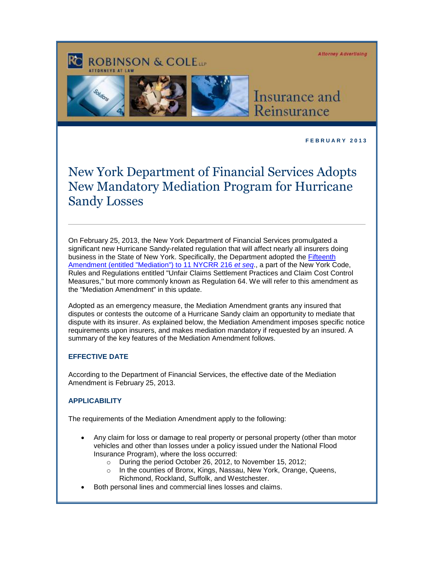**Attorney Advertising** 

# **ROBINSON & COLETT**





## Insurance and Reinsurance

**F E B R U A R Y 2 0 1 3** 

## New York Department of Financial Services Adopts New Mandatory Mediation Program for Hurricane Sandy Losses

On February 25, 2013, the New York Department of Financial Services promulgated a significant new Hurricane Sandy-related regulation that will affect nearly all insurers doing business in the State of New York. Specifically, the Department adopted the [Fifteenth](http://www.dfs.ny.gov/insurance/r_emergy/re64a15t.pdf)  [Amendment \(entitled "Mediation"\) to 11 NYCRR 216](http://www.dfs.ny.gov/insurance/r_emergy/re64a15t.pdf) *et seq*., a part of the New York Code, Rules and Regulations entitled "Unfair Claims Settlement Practices and Claim Cost Control Measures," but more commonly known as Regulation 64. We will refer to this amendment as the "Mediation Amendment" in this update.

Adopted as an emergency measure, the Mediation Amendment grants any insured that disputes or contests the outcome of a Hurricane Sandy claim an opportunity to mediate that dispute with its insurer. As explained below, the Mediation Amendment imposes specific notice requirements upon insurers, and makes mediation mandatory if requested by an insured. A summary of the key features of the Mediation Amendment follows.

## **EFFECTIVE DATE**

According to the Department of Financial Services, the effective date of the Mediation Amendment is February 25, 2013.

## **APPLICABILITY**

The requirements of the Mediation Amendment apply to the following:

- Any claim for loss or damage to real property or personal property (other than motor vehicles and other than losses under a policy issued under the National Flood Insurance Program), where the loss occurred:
	- o During the period October 26, 2012, to November 15, 2012;
	- o In the counties of Bronx, Kings, Nassau, New York, Orange, Queens, Richmond, Rockland, Suffolk, and Westchester.
- Both personal lines and commercial lines losses and claims.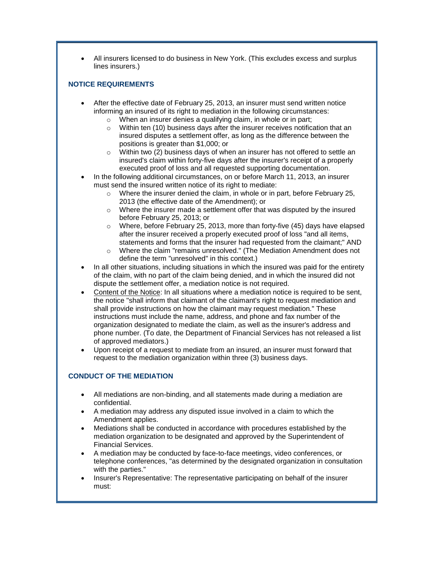All insurers licensed to do business in New York. (This excludes excess and surplus lines insurers.)

#### **NOTICE REQUIREMENTS**

- After the effective date of February 25, 2013, an insurer must send written notice informing an insured of its right to mediation in the following circumstances:
	- o When an insurer denies a qualifying claim, in whole or in part;
	- $\circ$  Within ten (10) business days after the insurer receives notification that an insured disputes a settlement offer, as long as the difference between the positions is greater than \$1,000; or
	- $\circ$  Within two (2) business days of when an insurer has not offered to settle an insured's claim within forty-five days after the insurer's receipt of a properly executed proof of loss and all requested supporting documentation.
- In the following additional circumstances, on or before March 11, 2013, an insurer must send the insured written notice of its right to mediate:
	- $\circ$  Where the insurer denied the claim, in whole or in part, before February 25, 2013 (the effective date of the Amendment); or
	- $\circ$  Where the insurer made a settlement offer that was disputed by the insured before February 25, 2013; or
	- o Where, before February 25, 2013, more than forty-five (45) days have elapsed after the insurer received a properly executed proof of loss "and all items, statements and forms that the insurer had requested from the claimant;" AND
	- o Where the claim "remains unresolved." (The Mediation Amendment does not define the term "unresolved" in this context.)
- In all other situations, including situations in which the insured was paid for the entirety of the claim, with no part of the claim being denied, and in which the insured did not dispute the settlement offer, a mediation notice is not required.
- Content of the Notice: In all situations where a mediation notice is required to be sent, the notice "shall inform that claimant of the claimant's right to request mediation and shall provide instructions on how the claimant may request mediation." These instructions must include the name, address, and phone and fax number of the organization designated to mediate the claim, as well as the insurer's address and phone number. (To date, the Department of Financial Services has not released a list of approved mediators.)
- Upon receipt of a request to mediate from an insured, an insurer must forward that request to the mediation organization within three (3) business days.

### **CONDUCT OF THE MEDIATION**

- All mediations are non-binding, and all statements made during a mediation are confidential.
- A mediation may address any disputed issue involved in a claim to which the Amendment applies.
- Mediations shall be conducted in accordance with procedures established by the mediation organization to be designated and approved by the Superintendent of Financial Services.
- A mediation may be conducted by face-to-face meetings, video conferences, or telephone conferences, "as determined by the designated organization in consultation with the parties."
- Insurer's Representative: The representative participating on behalf of the insurer must: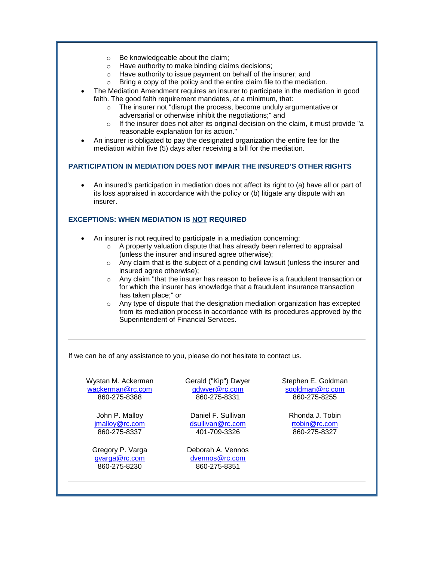- o Be knowledgeable about the claim;
- o Have authority to make binding claims decisions;
- o Have authority to issue payment on behalf of the insurer; and
- o Bring a copy of the policy and the entire claim file to the mediation.
- The Mediation Amendment requires an insurer to participate in the mediation in good faith. The good faith requirement mandates, at a minimum, that:
	- $\circ$  The insurer not "disrupt the process, become unduly argumentative or adversarial or otherwise inhibit the negotiations;" and
	- $\circ$  If the insurer does not alter its original decision on the claim, it must provide "a reasonable explanation for its action."
- An insurer is obligated to pay the designated organization the entire fee for the mediation within five (5) days after receiving a bill for the mediation.

#### **PARTICIPATION IN MEDIATION DOES NOT IMPAIR THE INSURED'S OTHER RIGHTS**

 An insured's participation in mediation does not affect its right to (a) have all or part of its loss appraised in accordance with the policy or (b) litigate any dispute with an insurer.

### **EXCEPTIONS: WHEN MEDIATION IS NOT REQUIRED**

- An insurer is not required to participate in a mediation concerning:
	- o A property valuation dispute that has already been referred to appraisal (unless the insurer and insured agree otherwise);
	- $\circ$  Any claim that is the subject of a pending civil lawsuit (unless the insurer and insured agree otherwise);
	- $\circ$  Any claim "that the insurer has reason to believe is a fraudulent transaction or for which the insurer has knowledge that a fraudulent insurance transaction has taken place;" or
	- o Any type of dispute that the designation mediation organization has excepted from its mediation process in accordance with its procedures approved by the Superintendent of Financial Services.

If we can be of any assistance to you, please do not hesitate to contact us.

Wystan M. Ackerman [wackerman@rc.com](mailto:wackerman@rc.com) 860-275-8388

> John P. Malloy [jmalloy@rc.com](mailto:jmalloy@rc.com) 860-275-8337

Gregory P. Varga [gvarga@rc.com](mailto:gvarga@rc.com) 860-275-8230

Gerald ("Kip") Dwyer [gdwyer@rc.com](mailto:gdwyer@rc.com) 860-275-8331

Daniel F. Sullivan [dsullivan@rc.com](mailto:dsullivan@rc.com) 401-709-3326

Deborah A. Vennos [dvennos@rc.com](mailto:dvennos@rc.com) 860-275-8351

Stephen E. Goldman [sgoldman@rc.com](mailto:sgoldman@rc.com) 860-275-8255

> Rhonda J. Tobin [rtobin@rc.com](mailto:rtobin@rc.com) 860-275-8327